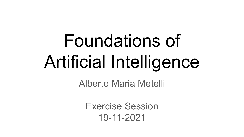# Foundations of Artificial Intelligence

Alberto Maria Metelli

Exercise Session 19-11-2021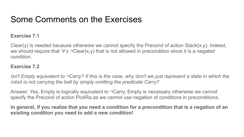## Some Comments on the Exercises

#### **Exercise 7.1**

Clear(y) is needed because otherwise we cannot specify the Precond of action Stack(x,y). Indeed, we should require that ∀x ¬Clear(x,y) that is not allowed in precondition since it is a negated condition.

#### **Exercise 7.2**

*Isn't Empty equivalent to* ¬*Carry? If this is the case, why don't we just represent a state in which the robot is not carrying the ball by simply omitting the predicate Carry?* 

Answer: Yes, Empty is logically equivalent to  $\neg Carry$ . Empty is necessary otherwise we cannot specify the Precond of action PickRa as we cannot use negation of conditions in preconditions.

**In general, if you realize that you need a condition for a precondition that is a negation of an existing condition you need to add a new condition!**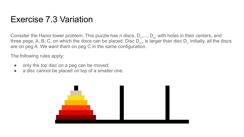## Exercise 7.3 Variation

Consider the Hanoi tower problem. This puzzle has *n* discs,  $D_1, ..., D_n$ , with holes in their centers, and three pegs, A, B, C, on which the discs can be placed. Disc  $D_{i+1}$  is larger than disc  $D_i$ . Initially, all the discs are on peg A. We want them on peg C in the same configuration.

The following rules apply:

- only the top disc on a peg can be moved;
- a disc cannot be placed on top of a smaller one.